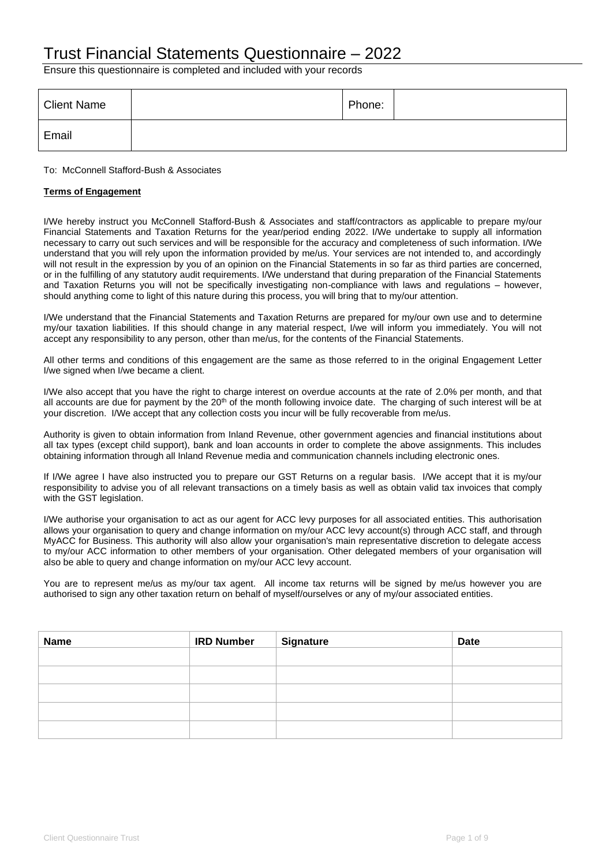# Trust Financial Statements Questionnaire – 2022

Ensure this questionnaire is completed and included with your records

| <b>Client Name</b> | Phone: |  |
|--------------------|--------|--|
| Email              |        |  |

#### To: McConnell Stafford-Bush & Associates

### **Terms of Engagement**

I/We hereby instruct you McConnell Stafford-Bush & Associates and staff/contractors as applicable to prepare my/our Financial Statements and Taxation Returns for the year/period ending 2022. I/We undertake to supply all information necessary to carry out such services and will be responsible for the accuracy and completeness of such information. I/We understand that you will rely upon the information provided by me/us. Your services are not intended to, and accordingly will not result in the expression by you of an opinion on the Financial Statements in so far as third parties are concerned, or in the fulfilling of any statutory audit requirements. I/We understand that during preparation of the Financial Statements and Taxation Returns you will not be specifically investigating non-compliance with laws and regulations – however, should anything come to light of this nature during this process, you will bring that to my/our attention.

I/We understand that the Financial Statements and Taxation Returns are prepared for my/our own use and to determine my/our taxation liabilities. If this should change in any material respect, I/we will inform you immediately. You will not accept any responsibility to any person, other than me/us, for the contents of the Financial Statements.

All other terms and conditions of this engagement are the same as those referred to in the original Engagement Letter I/we signed when I/we became a client.

I/We also accept that you have the right to charge interest on overdue accounts at the rate of 2.0% per month, and that all accounts are due for payment by the  $20<sup>th</sup>$  of the month following invoice date. The charging of such interest will be at your discretion. I/We accept that any collection costs you incur will be fully recoverable from me/us.

Authority is given to obtain information from Inland Revenue, other government agencies and financial institutions about all tax types (except child support), bank and loan accounts in order to complete the above assignments. This includes obtaining information through all Inland Revenue media and communication channels including electronic ones.

If I/We agree I have also instructed you to prepare our GST Returns on a regular basis. I/We accept that it is my/our responsibility to advise you of all relevant transactions on a timely basis as well as obtain valid tax invoices that comply with the GST legislation.

I/We authorise your organisation to act as our agent for ACC levy purposes for all associated entities. This authorisation allows your organisation to query and change information on my/our ACC levy account(s) through ACC staff, and through MyACC for Business. This authority will also allow your organisation's main representative discretion to delegate access to my/our ACC information to other members of your organisation. Other delegated members of your organisation will also be able to query and change information on my/our ACC levy account.

You are to represent me/us as my/our tax agent. All income tax returns will be signed by me/us however you are authorised to sign any other taxation return on behalf of myself/ourselves or any of my/our associated entities.

| <b>Name</b> | <b>IRD Number</b> | <b>Signature</b> | <b>Date</b> |
|-------------|-------------------|------------------|-------------|
|             |                   |                  |             |
|             |                   |                  |             |
|             |                   |                  |             |
|             |                   |                  |             |
|             |                   |                  |             |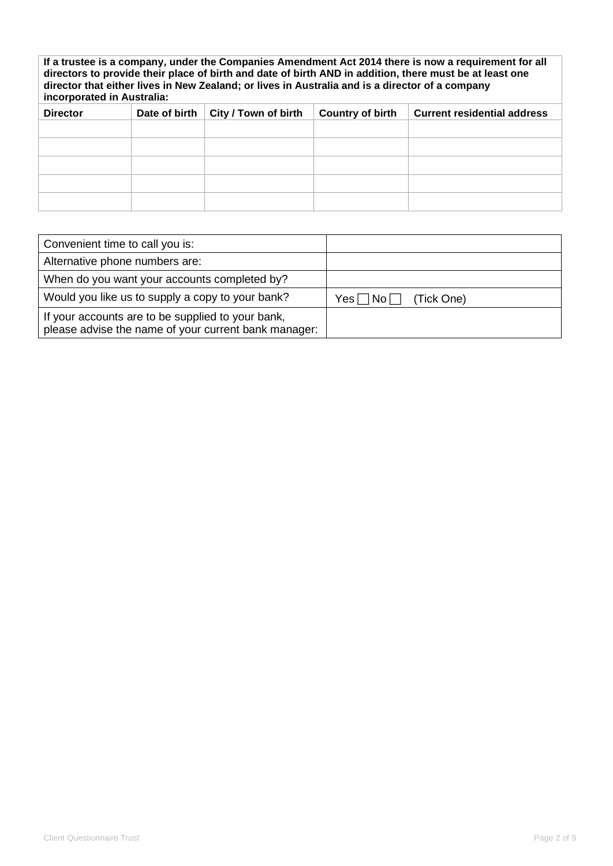**If a trustee is a company, under the Companies Amendment Act 2014 there is now a requirement for all directors to provide their place of birth and date of birth AND in addition, there must be at least one director that either lives in New Zealand; or lives in Australia and is a director of a company incorporated in Australia:**

| <b>Director</b> | Date of birth | City / Town of birth | <b>Country of birth</b> | <b>Current residential address</b> |
|-----------------|---------------|----------------------|-------------------------|------------------------------------|
|                 |               |                      |                         |                                    |
|                 |               |                      |                         |                                    |
|                 |               |                      |                         |                                    |
|                 |               |                      |                         |                                    |
|                 |               |                      |                         |                                    |

| Convenient time to call you is:                                                                           |                                    |
|-----------------------------------------------------------------------------------------------------------|------------------------------------|
| Alternative phone numbers are:                                                                            |                                    |
| When do you want your accounts completed by?                                                              |                                    |
| Would you like us to supply a copy to your bank?                                                          | Yes $\Box$ No $\Box$<br>(Tick One) |
| If your accounts are to be supplied to your bank,<br>please advise the name of your current bank manager: |                                    |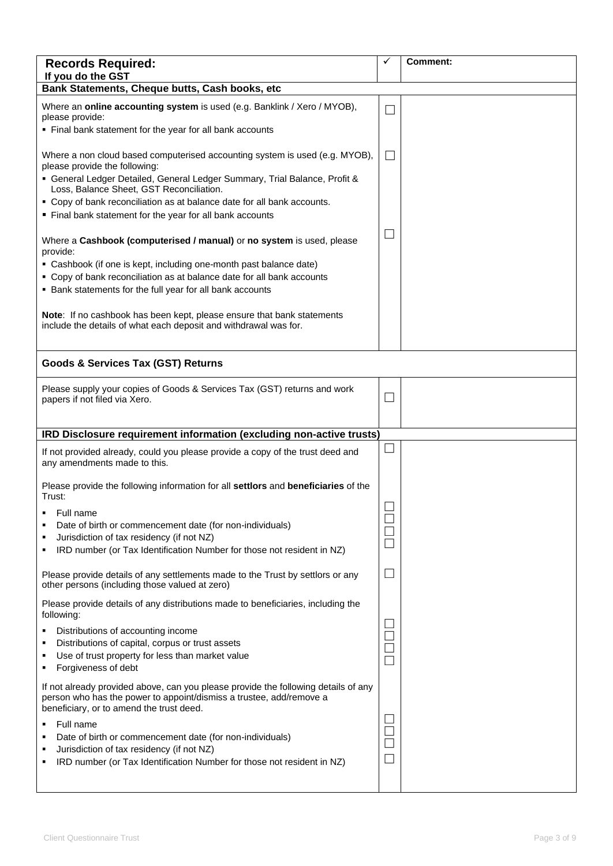| <b>Records Required:</b><br>If you do the GST                                                                                                                                                                                                                                                                                                                                                                                       | ✓                           | <b>Comment:</b> |
|-------------------------------------------------------------------------------------------------------------------------------------------------------------------------------------------------------------------------------------------------------------------------------------------------------------------------------------------------------------------------------------------------------------------------------------|-----------------------------|-----------------|
| Bank Statements, Cheque butts, Cash books, etc                                                                                                                                                                                                                                                                                                                                                                                      |                             |                 |
| Where an online accounting system is used (e.g. Banklink / Xero / MYOB),<br>please provide:<br>• Final bank statement for the year for all bank accounts                                                                                                                                                                                                                                                                            | $\mathbf{L}$                |                 |
| Where a non cloud based computerised accounting system is used (e.g. MYOB),<br>please provide the following:<br>• General Ledger Detailed, General Ledger Summary, Trial Balance, Profit &<br>Loss, Balance Sheet, GST Reconciliation.<br>• Copy of bank reconciliation as at balance date for all bank accounts.                                                                                                                   | $\Box$                      |                 |
| Final bank statement for the year for all bank accounts<br>Where a Cashbook (computerised / manual) or no system is used, please<br>provide:<br>• Cashbook (if one is kept, including one-month past balance date)<br>• Copy of bank reconciliation as at balance date for all bank accounts<br>• Bank statements for the full year for all bank accounts<br>Note: If no cashbook has been kept, please ensure that bank statements |                             |                 |
| include the details of what each deposit and withdrawal was for.                                                                                                                                                                                                                                                                                                                                                                    |                             |                 |
| <b>Goods &amp; Services Tax (GST) Returns</b>                                                                                                                                                                                                                                                                                                                                                                                       |                             |                 |
| Please supply your copies of Goods & Services Tax (GST) returns and work<br>papers if not filed via Xero.                                                                                                                                                                                                                                                                                                                           | $\Box$                      |                 |
| IRD Disclosure requirement information (excluding non-active trusts)                                                                                                                                                                                                                                                                                                                                                                |                             |                 |
| If not provided already, could you please provide a copy of the trust deed and<br>any amendments made to this.                                                                                                                                                                                                                                                                                                                      |                             |                 |
| Please provide the following information for all settlors and beneficiaries of the<br>Trust:                                                                                                                                                                                                                                                                                                                                        |                             |                 |
| Full name<br>Date of birth or commencement date (for non-individuals)<br>Jurisdiction of tax residency (if not NZ)<br>IRD number (or Tax Identification Number for those not resident in NZ)                                                                                                                                                                                                                                        |                             |                 |
| Please provide details of any settlements made to the Trust by settlors or any<br>other persons (including those valued at zero)                                                                                                                                                                                                                                                                                                    | L                           |                 |
| Please provide details of any distributions made to beneficiaries, including the<br>following:<br>Distributions of accounting income<br>Distributions of capital, corpus or trust assets<br>Use of trust property for less than market value<br>Forgiveness of debt<br>٠                                                                                                                                                            | $\mathcal{L}_{\mathcal{A}}$ |                 |
| If not already provided above, can you please provide the following details of any<br>person who has the power to appoint/dismiss a trustee, add/remove a<br>beneficiary, or to amend the trust deed.<br>Full name<br>Date of birth or commencement date (for non-individuals)<br>Jurisdiction of tax residency (if not NZ)<br>IRD number (or Tax Identification Number for those not resident in NZ)                               | $\Box$                      |                 |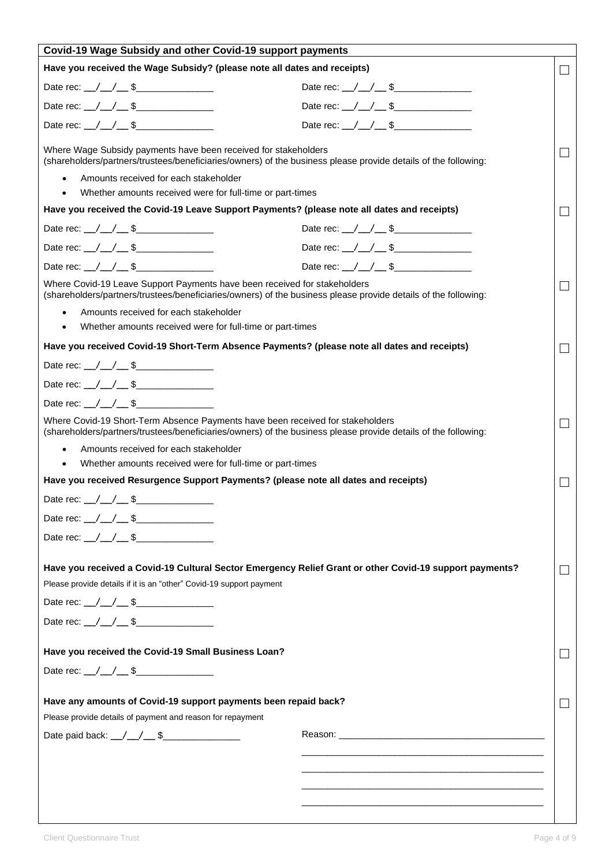| Covid-19 Wage Subsidy and other Covid-19 support payments                                                                                                                                        |                                                                                                                                                                                                                                |                             |
|--------------------------------------------------------------------------------------------------------------------------------------------------------------------------------------------------|--------------------------------------------------------------------------------------------------------------------------------------------------------------------------------------------------------------------------------|-----------------------------|
| Have you received the Wage Subsidy? (please note all dates and receipts)                                                                                                                         |                                                                                                                                                                                                                                | $\Box$                      |
|                                                                                                                                                                                                  | Date rec: $\angle$ / $\angle$ \$                                                                                                                                                                                               |                             |
|                                                                                                                                                                                                  | Date rec: $\angle$ / $\angle$ \$                                                                                                                                                                                               |                             |
| Date rec: $\angle$ / $\angle$ \$                                                                                                                                                                 | Date rec: $\angle$ / $\angle$ \$                                                                                                                                                                                               |                             |
| Where Wage Subsidy payments have been received for stakeholders<br>(shareholders/partners/trustees/beneficiaries/owners) of the business please provide details of the following:                |                                                                                                                                                                                                                                | $\overline{\phantom{a}}$    |
| Amounts received for each stakeholder<br>$\bullet$                                                                                                                                               |                                                                                                                                                                                                                                |                             |
| Whether amounts received were for full-time or part-times<br>$\bullet$                                                                                                                           |                                                                                                                                                                                                                                |                             |
| Have you received the Covid-19 Leave Support Payments? (please note all dates and receipts)                                                                                                      |                                                                                                                                                                                                                                | $\Box$                      |
| Date rec: \_/ \_/ \_ \$                                                                                                                                                                          | Date rec: $\angle$ / $\angle$ \$                                                                                                                                                                                               |                             |
|                                                                                                                                                                                                  | Date rec: $\angle$ / $\angle$ \$                                                                                                                                                                                               |                             |
| Date rec: $\angle$ / $\angle$ \$                                                                                                                                                                 | Date rec: $\angle$ / $\angle$ \$                                                                                                                                                                                               |                             |
| Where Covid-19 Leave Support Payments have been received for stakeholders<br>(shareholders/partners/trustees/beneficiaries/owners) of the business please provide details of the following:      |                                                                                                                                                                                                                                | $\Box$                      |
| Amounts received for each stakeholder<br>$\bullet$                                                                                                                                               |                                                                                                                                                                                                                                |                             |
| Whether amounts received were for full-time or part-times<br>$\bullet$                                                                                                                           |                                                                                                                                                                                                                                |                             |
| Have you received Covid-19 Short-Term Absence Payments? (please note all dates and receipts)                                                                                                     |                                                                                                                                                                                                                                | $\mathcal{L}_{\mathcal{A}}$ |
|                                                                                                                                                                                                  |                                                                                                                                                                                                                                |                             |
| Date rec: \_/ \_/ \_ \$                                                                                                                                                                          |                                                                                                                                                                                                                                |                             |
|                                                                                                                                                                                                  |                                                                                                                                                                                                                                |                             |
| Where Covid-19 Short-Term Absence Payments have been received for stakeholders<br>(shareholders/partners/trustees/beneficiaries/owners) of the business please provide details of the following: |                                                                                                                                                                                                                                | $\Box$                      |
| Amounts received for each stakeholder<br>$\bullet$                                                                                                                                               |                                                                                                                                                                                                                                |                             |
| Whether amounts received were for full-time or part-times<br>$\bullet$                                                                                                                           |                                                                                                                                                                                                                                |                             |
| Have you received Resurgence Support Payments? (please note all dates and receipts)                                                                                                              |                                                                                                                                                                                                                                | $\Box$                      |
| Date rec: $_{\_}/_{\_}/_{\_}$ \$                                                                                                                                                                 |                                                                                                                                                                                                                                |                             |
|                                                                                                                                                                                                  |                                                                                                                                                                                                                                |                             |
| Date rec: \_/ \_/ \_ \$\_______________                                                                                                                                                          |                                                                                                                                                                                                                                |                             |
|                                                                                                                                                                                                  |                                                                                                                                                                                                                                |                             |
| Have you received a Covid-19 Cultural Sector Emergency Relief Grant or other Covid-19 support payments?                                                                                          |                                                                                                                                                                                                                                | $\Box$                      |
| Please provide details if it is an "other" Covid-19 support payment                                                                                                                              |                                                                                                                                                                                                                                |                             |
| Date rec: \_/ \_/ \_ \$                                                                                                                                                                          |                                                                                                                                                                                                                                |                             |
| Date rec: \_/ \_/ \_ \$\_______________                                                                                                                                                          |                                                                                                                                                                                                                                |                             |
| Have you received the Covid-19 Small Business Loan?                                                                                                                                              |                                                                                                                                                                                                                                | $\Box$                      |
|                                                                                                                                                                                                  |                                                                                                                                                                                                                                |                             |
|                                                                                                                                                                                                  |                                                                                                                                                                                                                                |                             |
| Have any amounts of Covid-19 support payments been repaid back?                                                                                                                                  |                                                                                                                                                                                                                                | $\overline{\phantom{a}}$    |
| Please provide details of payment and reason for repayment                                                                                                                                       |                                                                                                                                                                                                                                |                             |
|                                                                                                                                                                                                  | Reason: when the contract of the contract of the contract of the contract of the contract of the contract of the contract of the contract of the contract of the contract of the contract of the contract of the contract of t |                             |
|                                                                                                                                                                                                  |                                                                                                                                                                                                                                |                             |
|                                                                                                                                                                                                  |                                                                                                                                                                                                                                |                             |
|                                                                                                                                                                                                  |                                                                                                                                                                                                                                |                             |
|                                                                                                                                                                                                  |                                                                                                                                                                                                                                |                             |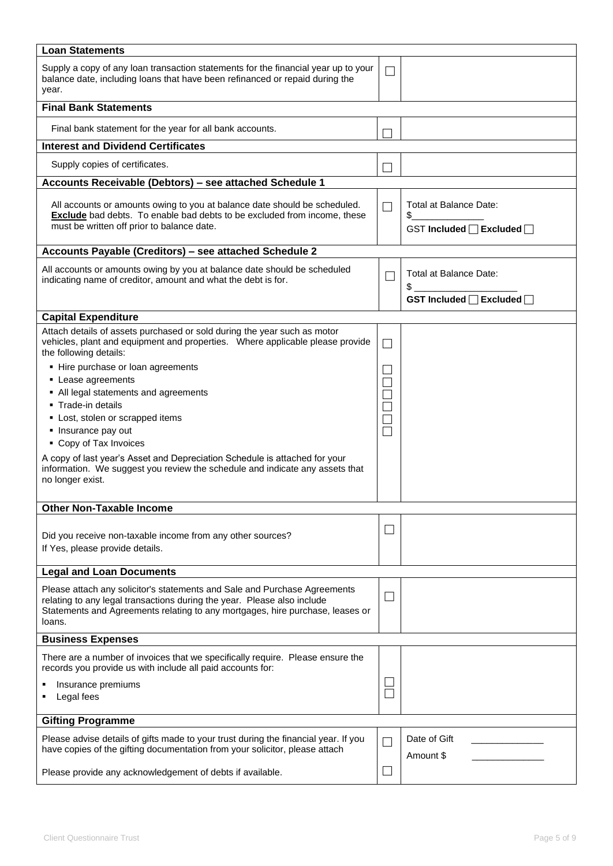| <b>Loan Statements</b>                                                                                                                                                                                                                          |        |                                                                      |
|-------------------------------------------------------------------------------------------------------------------------------------------------------------------------------------------------------------------------------------------------|--------|----------------------------------------------------------------------|
| Supply a copy of any loan transaction statements for the financial year up to your<br>balance date, including loans that have been refinanced or repaid during the<br>year.                                                                     | $\Box$ |                                                                      |
| <b>Final Bank Statements</b>                                                                                                                                                                                                                    |        |                                                                      |
| Final bank statement for the year for all bank accounts.                                                                                                                                                                                        |        |                                                                      |
| <b>Interest and Dividend Certificates</b>                                                                                                                                                                                                       |        |                                                                      |
| Supply copies of certificates.                                                                                                                                                                                                                  |        |                                                                      |
| Accounts Receivable (Debtors) - see attached Schedule 1                                                                                                                                                                                         |        |                                                                      |
| All accounts or amounts owing to you at balance date should be scheduled.<br><b>Exclude</b> bad debts. To enable bad debts to be excluded from income, these<br>must be written off prior to balance date.                                      | П      | Total at Balance Date:<br>\$<br>GST Included □ Excluded □            |
| Accounts Payable (Creditors) - see attached Schedule 2                                                                                                                                                                                          |        |                                                                      |
| All accounts or amounts owing by you at balance date should be scheduled<br>indicating name of creditor, amount and what the debt is for.                                                                                                       | П      | Total at Balance Date:<br>$\frac{1}{2}$<br>GST Included □ Excluded □ |
|                                                                                                                                                                                                                                                 |        |                                                                      |
| <b>Capital Expenditure</b>                                                                                                                                                                                                                      |        |                                                                      |
| Attach details of assets purchased or sold during the year such as motor<br>vehicles, plant and equipment and properties. Where applicable please provide<br>the following details:                                                             |        |                                                                      |
| • Hire purchase or loan agreements                                                                                                                                                                                                              |        |                                                                      |
| • Lease agreements                                                                                                                                                                                                                              |        |                                                                      |
| • All legal statements and agreements                                                                                                                                                                                                           |        |                                                                      |
| • Trade-in details                                                                                                                                                                                                                              |        |                                                                      |
| • Lost, stolen or scrapped items                                                                                                                                                                                                                |        |                                                                      |
|                                                                                                                                                                                                                                                 |        |                                                                      |
| • Insurance pay out                                                                                                                                                                                                                             | П      |                                                                      |
| • Copy of Tax Invoices                                                                                                                                                                                                                          |        |                                                                      |
| A copy of last year's Asset and Depreciation Schedule is attached for your<br>information. We suggest you review the schedule and indicate any assets that<br>no longer exist.                                                                  |        |                                                                      |
| <b>Other Non-Taxable Income</b>                                                                                                                                                                                                                 |        |                                                                      |
|                                                                                                                                                                                                                                                 |        |                                                                      |
| Did you receive non-taxable income from any other sources?<br>If Yes, please provide details.                                                                                                                                                   |        |                                                                      |
| <b>Legal and Loan Documents</b>                                                                                                                                                                                                                 |        |                                                                      |
| Please attach any solicitor's statements and Sale and Purchase Agreements<br>relating to any legal transactions during the year. Please also include<br>Statements and Agreements relating to any mortgages, hire purchase, leases or<br>loans. | $\Box$ |                                                                      |
| <b>Business Expenses</b>                                                                                                                                                                                                                        |        |                                                                      |
| There are a number of invoices that we specifically require. Please ensure the<br>records you provide us with include all paid accounts for:                                                                                                    |        |                                                                      |
| Insurance premiums                                                                                                                                                                                                                              |        |                                                                      |
| Legal fees                                                                                                                                                                                                                                      |        |                                                                      |
| <b>Gifting Programme</b>                                                                                                                                                                                                                        |        |                                                                      |
| Please advise details of gifts made to your trust during the financial year. If you<br>have copies of the gifting documentation from your solicitor, please attach                                                                              |        | Date of Gift<br>Amount \$                                            |
| Please provide any acknowledgement of debts if available.                                                                                                                                                                                       |        |                                                                      |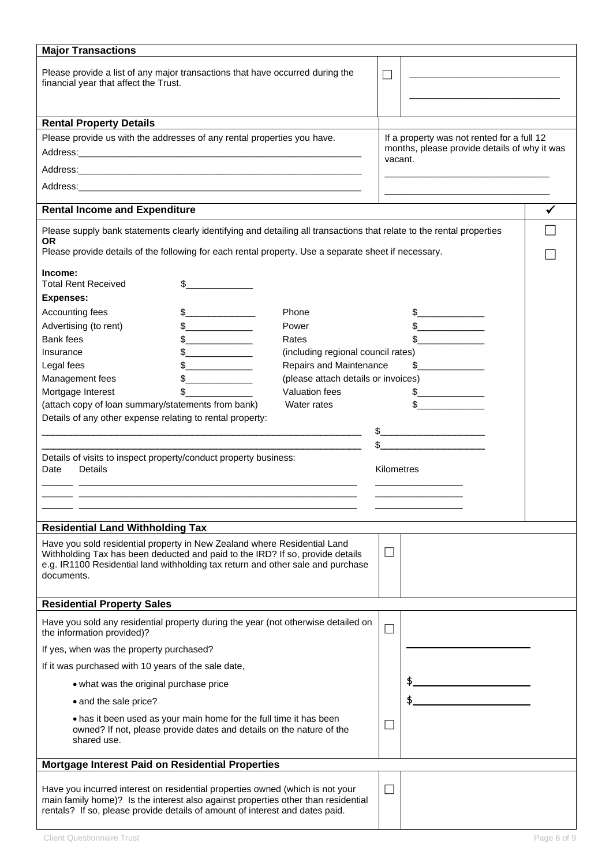| <b>Major Transactions</b>                                                                                                                                                                                                                                  |                                     |            |                                              |  |
|------------------------------------------------------------------------------------------------------------------------------------------------------------------------------------------------------------------------------------------------------------|-------------------------------------|------------|----------------------------------------------|--|
| Please provide a list of any major transactions that have occurred during the<br>financial year that affect the Trust.                                                                                                                                     |                                     | $\Box$     |                                              |  |
|                                                                                                                                                                                                                                                            |                                     |            |                                              |  |
| <b>Rental Property Details</b>                                                                                                                                                                                                                             |                                     |            |                                              |  |
| Please provide us with the addresses of any rental properties you have.                                                                                                                                                                                    |                                     |            | If a property was not rented for a full 12   |  |
|                                                                                                                                                                                                                                                            |                                     | vacant.    | months, please provide details of why it was |  |
|                                                                                                                                                                                                                                                            |                                     |            |                                              |  |
| Address: the contract of the contract of the contract of the contract of the contract of the contract of the contract of the contract of the contract of the contract of the contract of the contract of the contract of the c                             |                                     |            |                                              |  |
| <b>Rental Income and Expenditure</b>                                                                                                                                                                                                                       |                                     |            |                                              |  |
| Please supply bank statements clearly identifying and detailing all transactions that relate to the rental properties<br>OR<br>Please provide details of the following for each rental property. Use a separate sheet if necessary.                        |                                     |            |                                              |  |
| Income:<br><b>Total Rent Received</b>                                                                                                                                                                                                                      |                                     |            |                                              |  |
| <b>Expenses:</b>                                                                                                                                                                                                                                           |                                     |            |                                              |  |
| Accounting fees<br>$\sim$                                                                                                                                                                                                                                  | Phone                               |            |                                              |  |
| Advertising (to rent)<br>$\frac{1}{2}$                                                                                                                                                                                                                     | Power                               |            |                                              |  |
| <b>Bank fees</b><br>$\frac{1}{2}$                                                                                                                                                                                                                          | Rates                               |            |                                              |  |
| Insurance                                                                                                                                                                                                                                                  | (including regional council rates)  |            |                                              |  |
| Legal fees                                                                                                                                                                                                                                                 | Repairs and Maintenance             |            | \$                                           |  |
| Management fees                                                                                                                                                                                                                                            | (please attach details or invoices) |            |                                              |  |
| Mortgage Interest<br>\$                                                                                                                                                                                                                                    | <b>Valuation fees</b>               |            |                                              |  |
| (attach copy of loan summary/statements from bank)                                                                                                                                                                                                         | Water rates                         |            |                                              |  |
| Details of any other expense relating to rental property:                                                                                                                                                                                                  |                                     |            |                                              |  |
|                                                                                                                                                                                                                                                            |                                     |            |                                              |  |
| Details of visits to inspect property/conduct property business:<br>Details<br>Date                                                                                                                                                                        |                                     | Kilometres |                                              |  |
|                                                                                                                                                                                                                                                            |                                     |            |                                              |  |
|                                                                                                                                                                                                                                                            |                                     |            |                                              |  |
|                                                                                                                                                                                                                                                            |                                     |            |                                              |  |
| <b>Residential Land Withholding Tax</b>                                                                                                                                                                                                                    |                                     |            |                                              |  |
| Have you sold residential property in New Zealand where Residential Land<br>Withholding Tax has been deducted and paid to the IRD? If so, provide details<br>e.g. IR1100 Residential land withholding tax return and other sale and purchase<br>documents. |                                     | $\Box$     |                                              |  |
| <b>Residential Property Sales</b>                                                                                                                                                                                                                          |                                     |            |                                              |  |
| Have you sold any residential property during the year (not otherwise detailed on<br>the information provided)?                                                                                                                                            |                                     | $\Box$     |                                              |  |
| If yes, when was the property purchased?                                                                                                                                                                                                                   |                                     |            |                                              |  |
| If it was purchased with 10 years of the sale date,                                                                                                                                                                                                        |                                     |            |                                              |  |
| • what was the original purchase price                                                                                                                                                                                                                     |                                     |            |                                              |  |
| • and the sale price?                                                                                                                                                                                                                                      |                                     |            |                                              |  |
|                                                                                                                                                                                                                                                            |                                     |            |                                              |  |
| • has it been used as your main home for the full time it has been<br>owned? If not, please provide dates and details on the nature of the<br>shared use.                                                                                                  |                                     |            |                                              |  |
| Mortgage Interest Paid on Residential Properties                                                                                                                                                                                                           |                                     |            |                                              |  |
| Have you incurred interest on residential properties owned (which is not your<br>main family home)? Is the interest also against properties other than residential<br>rentals? If so, please provide details of amount of interest and dates paid.         |                                     | $\Box$     |                                              |  |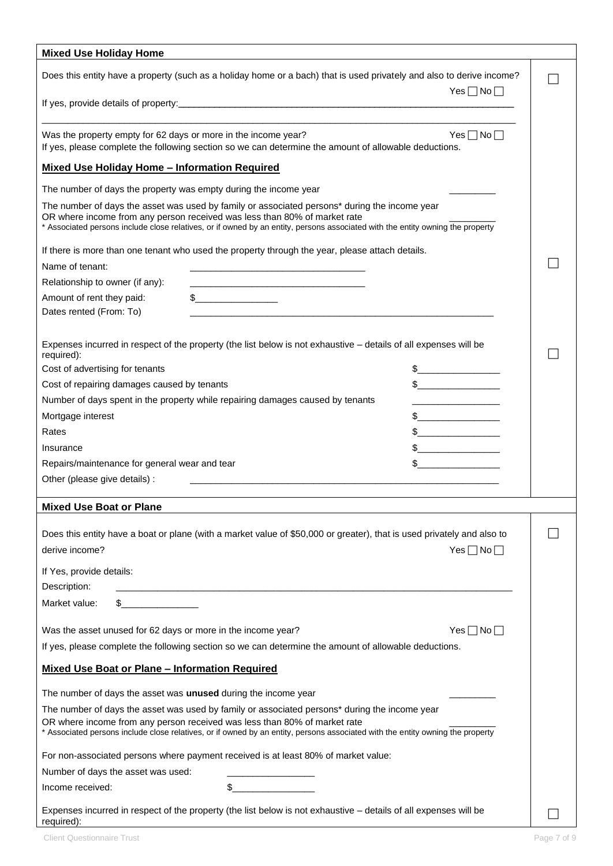| <b>Mixed Use Holiday Home</b>                                                                                                                                                                                                                                                                                                                                                    |  |
|----------------------------------------------------------------------------------------------------------------------------------------------------------------------------------------------------------------------------------------------------------------------------------------------------------------------------------------------------------------------------------|--|
| Does this entity have a property (such as a holiday home or a bach) that is used privately and also to derive income?<br>$Yes \Box No \Box$                                                                                                                                                                                                                                      |  |
|                                                                                                                                                                                                                                                                                                                                                                                  |  |
| $Yes \Box No \Box$<br>Was the property empty for 62 days or more in the income year?<br>If yes, please complete the following section so we can determine the amount of allowable deductions.                                                                                                                                                                                    |  |
| <b>Mixed Use Holiday Home - Information Required</b>                                                                                                                                                                                                                                                                                                                             |  |
| The number of days the property was empty during the income year                                                                                                                                                                                                                                                                                                                 |  |
| The number of days the asset was used by family or associated persons* during the income year<br>OR where income from any person received was less than 80% of market rate<br>* Associated persons include close relatives, or if owned by an entity, persons associated with the entity owning the property                                                                     |  |
| If there is more than one tenant who used the property through the year, please attach details.                                                                                                                                                                                                                                                                                  |  |
| Name of tenant:<br>the control of the control of the control of the control of the control of the control of                                                                                                                                                                                                                                                                     |  |
| Relationship to owner (if any):                                                                                                                                                                                                                                                                                                                                                  |  |
| $\begin{picture}(20,10) \put(0,0){\line(1,0){10}} \put(15,0){\line(1,0){10}} \put(15,0){\line(1,0){10}} \put(15,0){\line(1,0){10}} \put(15,0){\line(1,0){10}} \put(15,0){\line(1,0){10}} \put(15,0){\line(1,0){10}} \put(15,0){\line(1,0){10}} \put(15,0){\line(1,0){10}} \put(15,0){\line(1,0){10}} \put(15,0){\line(1,0){10}} \put(15,0){\line(1$<br>Amount of rent they paid: |  |
| Dates rented (From: To)                                                                                                                                                                                                                                                                                                                                                          |  |
| Expenses incurred in respect of the property (the list below is not exhaustive - details of all expenses will be<br>required):                                                                                                                                                                                                                                                   |  |
| Cost of advertising for tenants<br>$\frac{1}{2}$                                                                                                                                                                                                                                                                                                                                 |  |
| $\frac{1}{2}$<br>Cost of repairing damages caused by tenants                                                                                                                                                                                                                                                                                                                     |  |
| Number of days spent in the property while repairing damages caused by tenants<br><u> 1989 - Johann John Stein, mars eta bat eta bat eta bat eta bat eta bat eta bat eta bat eta bat eta bat eta b</u>                                                                                                                                                                           |  |
| Mortgage interest<br>$\frac{1}{2}$                                                                                                                                                                                                                                                                                                                                               |  |
| $\frac{1}{2}$<br>Rates                                                                                                                                                                                                                                                                                                                                                           |  |
| $\frac{1}{2}$<br>Insurance                                                                                                                                                                                                                                                                                                                                                       |  |
| Repairs/maintenance for general wear and tear                                                                                                                                                                                                                                                                                                                                    |  |
| Other (please give details) :<br>the control of the control of the control of the control of the control of the control of                                                                                                                                                                                                                                                       |  |
|                                                                                                                                                                                                                                                                                                                                                                                  |  |
| <b>Mixed Use Boat or Plane</b>                                                                                                                                                                                                                                                                                                                                                   |  |
| Does this entity have a boat or plane (with a market value of \$50,000 or greater), that is used privately and also to                                                                                                                                                                                                                                                           |  |
| derive income?<br>$Yes \Box No \Box$                                                                                                                                                                                                                                                                                                                                             |  |
|                                                                                                                                                                                                                                                                                                                                                                                  |  |
| If Yes, provide details:                                                                                                                                                                                                                                                                                                                                                         |  |
| Description:                                                                                                                                                                                                                                                                                                                                                                     |  |
| Market value:                                                                                                                                                                                                                                                                                                                                                                    |  |
| Was the asset unused for 62 days or more in the income year?<br>Yes $\Box$ No $\Box$                                                                                                                                                                                                                                                                                             |  |
| If yes, please complete the following section so we can determine the amount of allowable deductions.                                                                                                                                                                                                                                                                            |  |
| <b>Mixed Use Boat or Plane - Information Required</b>                                                                                                                                                                                                                                                                                                                            |  |
| The number of days the asset was <b>unused</b> during the income year                                                                                                                                                                                                                                                                                                            |  |
| The number of days the asset was used by family or associated persons* during the income year                                                                                                                                                                                                                                                                                    |  |
| OR where income from any person received was less than 80% of market rate<br>* Associated persons include close relatives, or if owned by an entity, persons associated with the entity owning the property                                                                                                                                                                      |  |
| For non-associated persons where payment received is at least 80% of market value:                                                                                                                                                                                                                                                                                               |  |
| Number of days the asset was used:                                                                                                                                                                                                                                                                                                                                               |  |
| Income received:                                                                                                                                                                                                                                                                                                                                                                 |  |
| Expenses incurred in respect of the property (the list below is not exhaustive - details of all expenses will be<br>required):                                                                                                                                                                                                                                                   |  |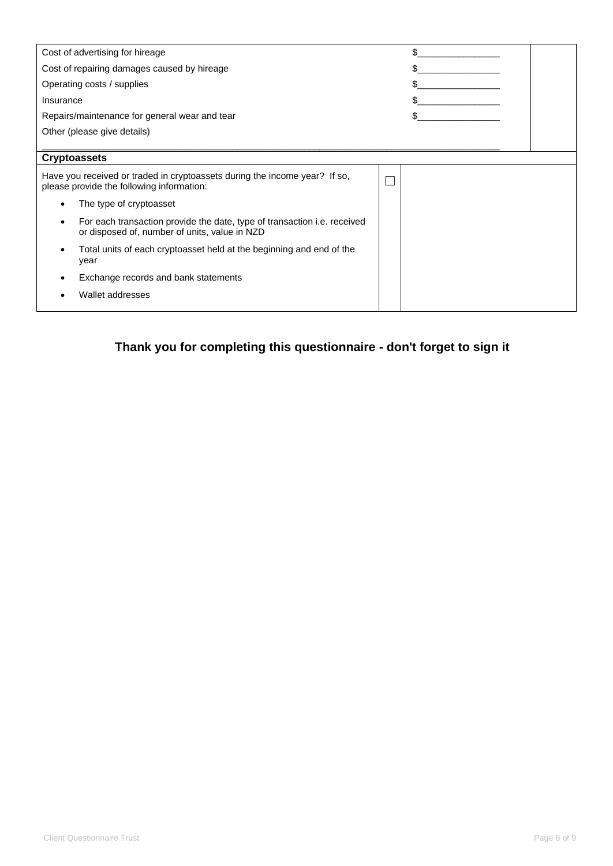|                                                                                                                                               |  | \$ |
|-----------------------------------------------------------------------------------------------------------------------------------------------|--|----|
| Cost of advertising for hireage                                                                                                               |  |    |
| Cost of repairing damages caused by hireage                                                                                                   |  |    |
| Operating costs / supplies                                                                                                                    |  |    |
| Insurance                                                                                                                                     |  | \$ |
| Repairs/maintenance for general wear and tear                                                                                                 |  |    |
| Other (please give details)                                                                                                                   |  |    |
|                                                                                                                                               |  |    |
| <b>Cryptoassets</b>                                                                                                                           |  |    |
| Have you received or traded in cryptoassets during the income year? If so,<br>please provide the following information:                       |  |    |
| The type of cryptoasset<br>٠                                                                                                                  |  |    |
| For each transaction provide the date, type of transaction <i>i.e.</i> received<br>$\bullet$<br>or disposed of, number of units, value in NZD |  |    |
| Total units of each cryptoasset held at the beginning and end of the<br>٠<br>year                                                             |  |    |
| Exchange records and bank statements                                                                                                          |  |    |
| Wallet addresses                                                                                                                              |  |    |

**Thank you for completing this questionnaire - don't forget to sign it**